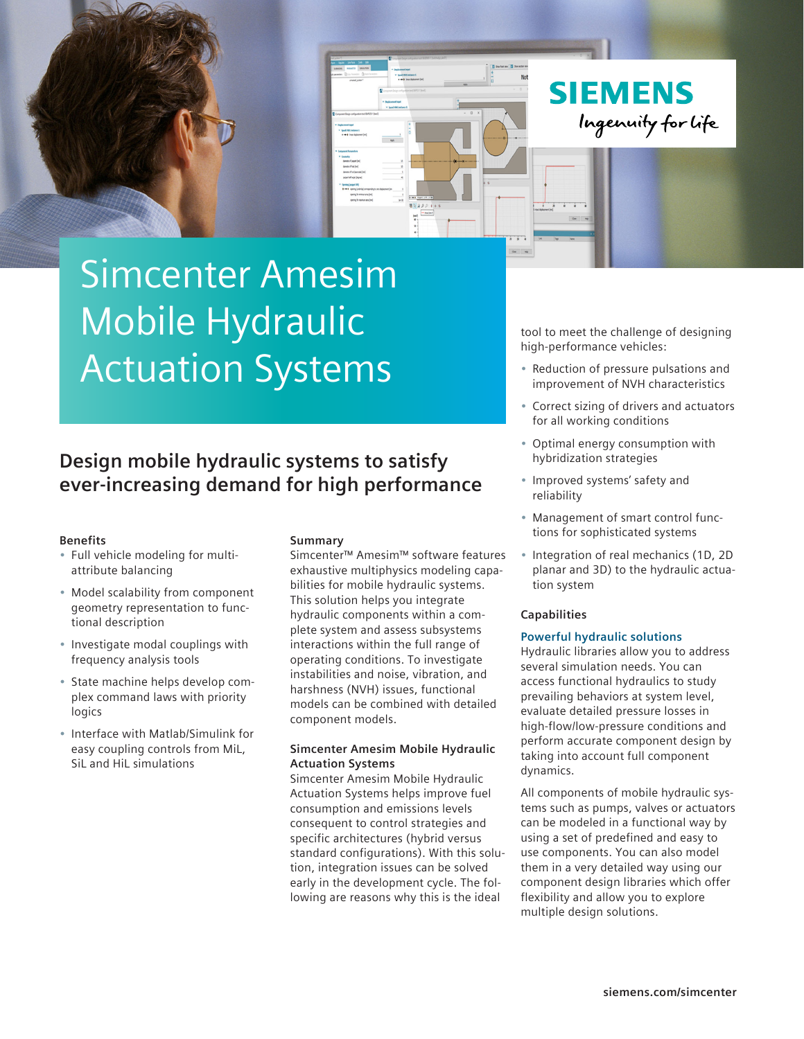

# Simcenter Amesim Mobile Hydraulic Actuation Systems

### **Design mobile hydraulic systems to satisfy ever-increasing demand for high performance**

#### **Benefits**

- Full vehicle modeling for multiattribute balancing
- Model scalability from component geometry representation to functional description
- Investigate modal couplings with frequency analysis tools
- State machine helps develop complex command laws with priority logics
- Interface with Matlab/Simulink for easy coupling controls from MiL, SiL and HiL simulations

#### **Summary**

Simcenter™ Amesim™ software features exhaustive multiphysics modeling capabilities for mobile hydraulic systems. This solution helps you integrate hydraulic components within a complete system and assess subsystems interactions within the full range of operating conditions. To investigate instabilities and noise, vibration, and harshness (NVH) issues, functional models can be combined with detailed component models.

#### **Simcenter Amesim Mobile Hydraulic Actuation Systems**

Simcenter Amesim Mobile Hydraulic Actuation Systems helps improve fuel consumption and emissions levels consequent to control strategies and specific architectures (hybrid versus standard configurations). With this solution, integration issues can be solved early in the development cycle. The following are reasons why this is the ideal

tool to meet the challenge of designing high-performance vehicles:

- Reduction of pressure pulsations and improvement of NVH characteristics
- Correct sizing of drivers and actuators for all working conditions
- Optimal energy consumption with hybridization strategies
- Improved systems' safety and reliability
- Management of smart control functions for sophisticated systems
- Integration of real mechanics (1D, 2D planar and 3D) to the hydraulic actuation system

#### **Capabilities**

#### **Powerful hydraulic solutions**

Hydraulic libraries allow you to address several simulation needs. You can access functional hydraulics to study prevailing behaviors at system level, evaluate detailed pressure losses in high-flow/low-pressure conditions and perform accurate component design by taking into account full component dynamics.

All components of mobile hydraulic systems such as pumps, valves or actuators can be modeled in a functional way by using a set of predefined and easy to use components. You can also model them in a very detailed way using our component design libraries which offer flexibility and allow you to explore multiple design solutions.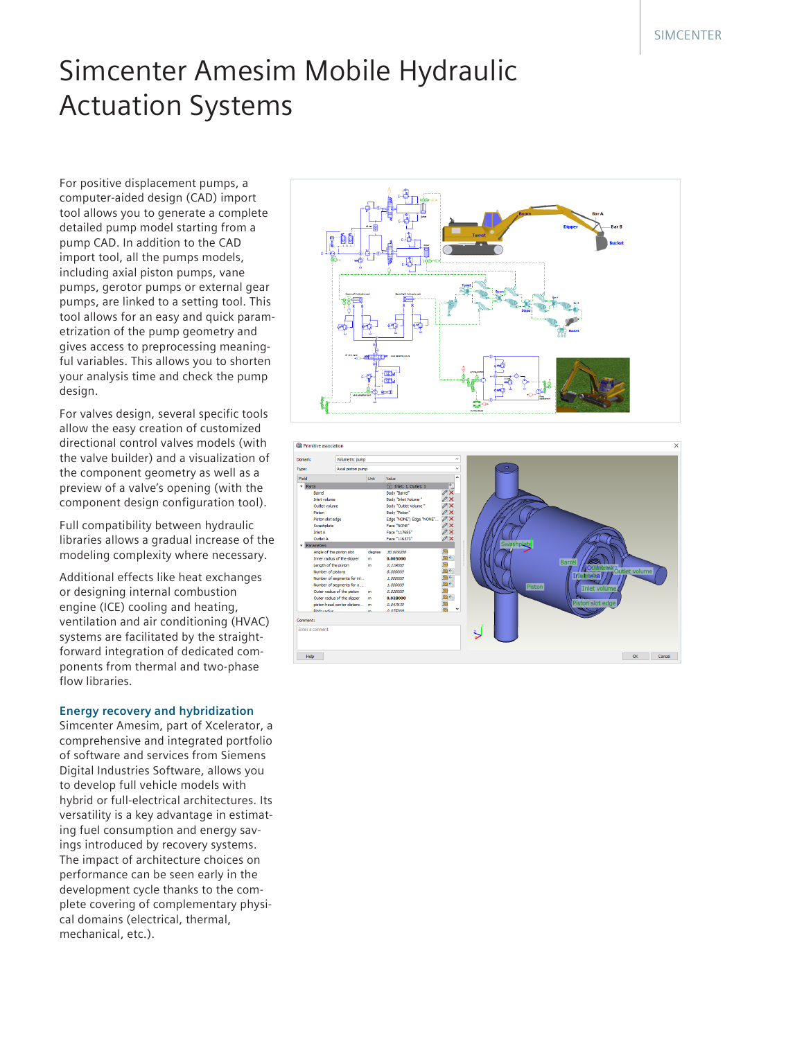## Simcenter Amesim Mobile Hydraulic Actuation Systems

For positive displacement pumps, a computer-aided design (CAD) import tool allows you to generate a complete detailed pump model starting from a pump CAD. In addition to the CAD import tool, all the pumps models, including axial piston pumps, vane pumps, gerotor pumps or external gear pumps, are linked to a setting tool. This tool allows for an easy and quick parametrization of the pump geometry and gives access to preprocessing meaningful variables. This allows you to shorten your analysis time and check the pump design.

For valves design, several specific tools allow the easy creation of customized directional control valves models (with the valve builder) and a visualization of the component geometry as well as a preview of a valve's opening (with the component design configuration tool).

Full compatibility between hydraulic libraries allows a gradual increase of the modeling complexity where necessary.

Additional effects like heat exchanges or designing internal combustion engine (ICE) cooling and heating, ventilation and air conditioning (HVAC) systems are facilitated by the straightforward integration of dedicated components from thermal and two-phase flow libraries.

#### **Energy recovery and hybridization**

Simcenter Amesim, part of Xcelerator, a comprehensive and integrated portfolio of software and services from Siemens Digital Industries Software, allows you to develop full vehicle models with hybrid or full-electrical architectures. Its versatility is a key advantage in estimating fuel consumption and energy savings introduced by recovery systems. The impact of architecture choices on performance can be seen early in the development cycle thanks to the complete covering of complementary physical domains (electrical, thermal, mechanical, etc.).